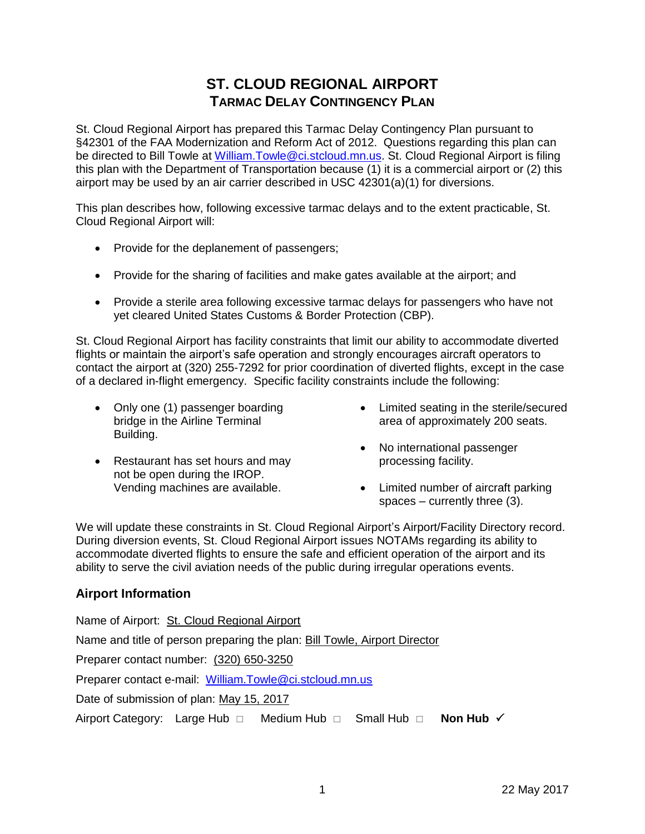# **ST. CLOUD REGIONAL AIRPORT TARMAC DELAY CONTINGENCY PLAN**

St. Cloud Regional Airport has prepared this Tarmac Delay Contingency Plan pursuant to §42301 of the FAA Modernization and Reform Act of 2012. Questions regarding this plan can be directed to Bill Towle at [William.Towle@ci.stcloud.mn.us.](mailto:William.Towle@ci.stcloud.mn.us) St. Cloud Regional Airport is filing this plan with the Department of Transportation because (1) it is a commercial airport or (2) this airport may be used by an air carrier described in USC 42301(a)(1) for diversions.

This plan describes how, following excessive tarmac delays and to the extent practicable, St. Cloud Regional Airport will:

- Provide for the deplanement of passengers;
- Provide for the sharing of facilities and make gates available at the airport; and
- Provide a sterile area following excessive tarmac delays for passengers who have not yet cleared United States Customs & Border Protection (CBP).

St. Cloud Regional Airport has facility constraints that limit our ability to accommodate diverted flights or maintain the airport's safe operation and strongly encourages aircraft operators to contact the airport at (320) 255-7292 for prior coordination of diverted flights, except in the case of a declared in-flight emergency. Specific facility constraints include the following:

- Only one (1) passenger boarding bridge in the Airline Terminal Building.
- Restaurant has set hours and may not be open during the IROP. Vending machines are available.
- Limited seating in the sterile/secured area of approximately 200 seats.
- No international passenger processing facility.
- Limited number of aircraft parking spaces – currently three (3).

We will update these constraints in St. Cloud Regional Airport's Airport/Facility Directory record. During diversion events, St. Cloud Regional Airport issues NOTAMs regarding its ability to accommodate diverted flights to ensure the safe and efficient operation of the airport and its ability to serve the civil aviation needs of the public during irregular operations events.

# **Airport Information**

Name of Airport: St. Cloud Regional Airport Name and title of person preparing the plan: Bill Towle, Airport Director Preparer contact number: (320) 650-3250 Preparer contact e-mail: [William.Towle@ci.stcloud.mn.us](mailto:William.Towle@ci.stcloud.mn.us) Date of submission of plan: May 15, 2017 Airport Category: Large Hub  $\Box$  Medium Hub  $\Box$  Small Hub  $\Box$  Non Hub  $\checkmark$